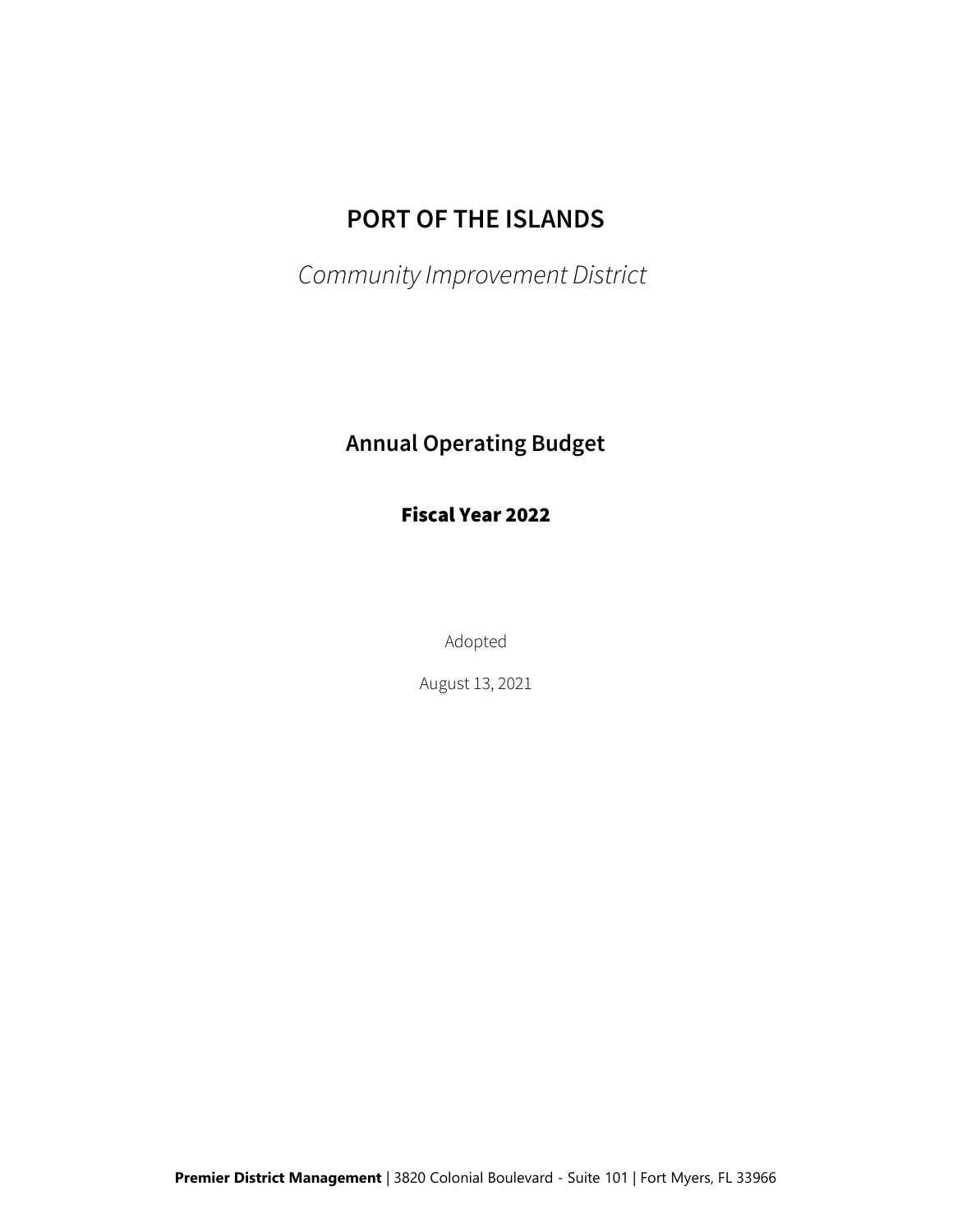# PORT OF THE ISLANDS

Community Improvement District

## Annual Operating Budget

Fiscal Year 2022

Adopted

August 13, 2021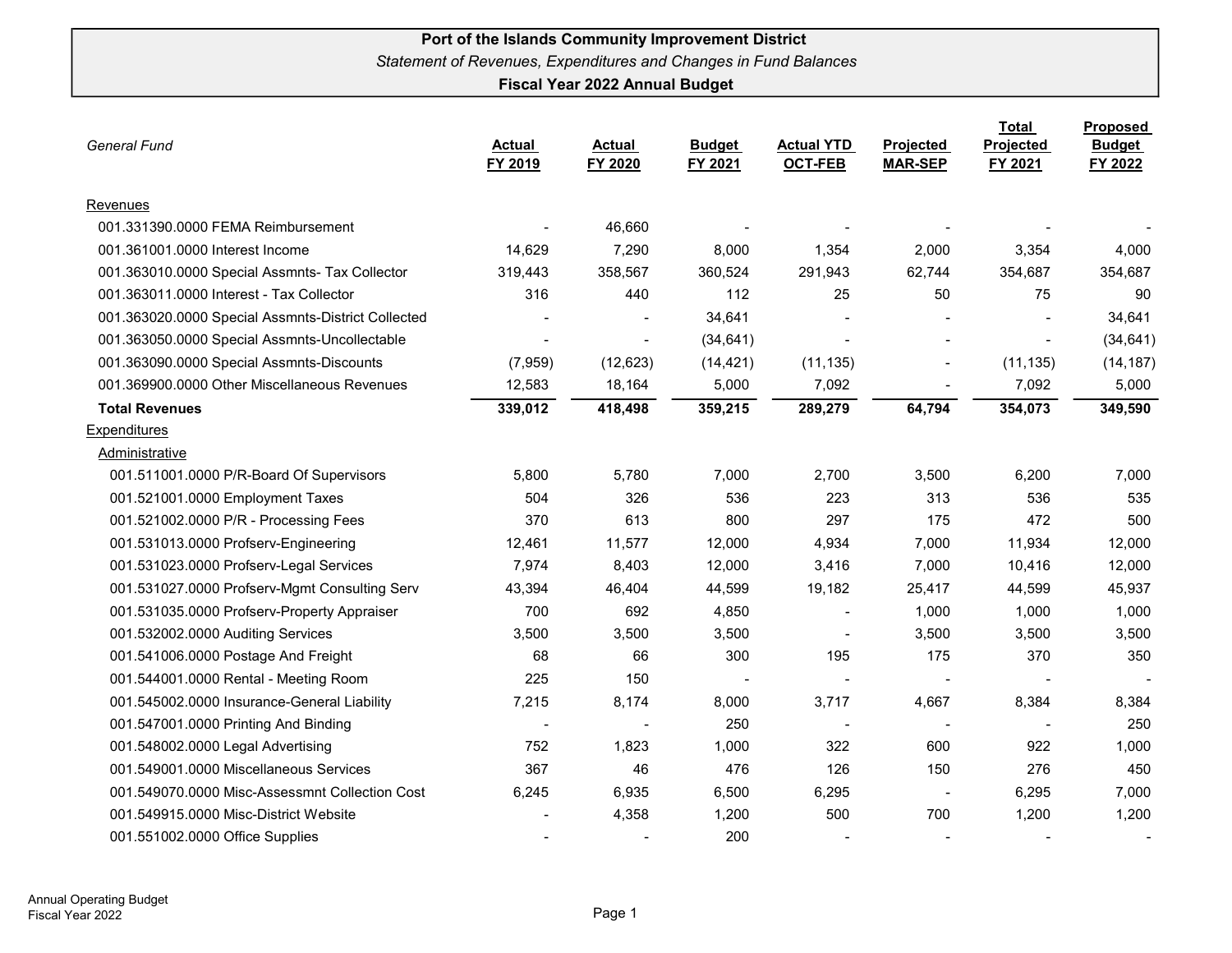| <b>General Fund</b>                                | <b>Actual</b><br>FY 2019 | <b>Actual</b><br>FY 2020 | <b>Budget</b><br>FY 2021 | <b>Actual YTD</b><br><b>OCT-FEB</b> | Projected<br><b>MAR-SEP</b> | <b>Total</b><br>Projected<br>FY 2021 | <b>Proposed</b><br><b>Budget</b><br>FY 2022 |
|----------------------------------------------------|--------------------------|--------------------------|--------------------------|-------------------------------------|-----------------------------|--------------------------------------|---------------------------------------------|
| Revenues                                           |                          |                          |                          |                                     |                             |                                      |                                             |
| 001.331390.0000 FEMA Reimbursement                 |                          | 46,660                   |                          |                                     |                             |                                      |                                             |
| 001.361001.0000 Interest Income                    | 14,629                   | 7,290                    | 8,000                    | 1,354                               | 2,000                       | 3,354                                | 4,000                                       |
| 001.363010.0000 Special Assmnts- Tax Collector     | 319,443                  | 358,567                  | 360,524                  | 291,943                             | 62,744                      | 354,687                              | 354,687                                     |
| 001.363011.0000 Interest - Tax Collector           | 316                      | 440                      | 112                      | 25                                  | 50                          | 75                                   | 90                                          |
| 001.363020.0000 Special Assmnts-District Collected |                          |                          | 34,641                   |                                     |                             |                                      | 34,641                                      |
| 001.363050.0000 Special Assmnts-Uncollectable      |                          | $\overline{\phantom{a}}$ | (34, 641)                | $\overline{\phantom{a}}$            | $\overline{a}$              | $\sim$                               | (34, 641)                                   |
| 001.363090.0000 Special Assmnts-Discounts          | (7,959)                  | (12, 623)                | (14, 421)                | (11, 135)                           | $\blacksquare$              | (11, 135)                            | (14, 187)                                   |
| 001.369900.0000 Other Miscellaneous Revenues       | 12,583                   | 18,164                   | 5,000                    | 7,092                               | $\blacksquare$              | 7,092                                | 5,000                                       |
| <b>Total Revenues</b>                              | 339,012                  | 418,498                  | 359,215                  | 289,279                             | 64,794                      | 354,073                              | 349,590                                     |
| <b>Expenditures</b>                                |                          |                          |                          |                                     |                             |                                      |                                             |
| Administrative                                     |                          |                          |                          |                                     |                             |                                      |                                             |
| 001.511001.0000 P/R-Board Of Supervisors           | 5,800                    | 5,780                    | 7,000                    | 2,700                               | 3,500                       | 6,200                                | 7,000                                       |
| 001.521001.0000 Employment Taxes                   | 504                      | 326                      | 536                      | 223                                 | 313                         | 536                                  | 535                                         |
| 001.521002.0000 P/R - Processing Fees              | 370                      | 613                      | 800                      | 297                                 | 175                         | 472                                  | 500                                         |
| 001.531013.0000 Profserv-Engineering               | 12,461                   | 11,577                   | 12,000                   | 4,934                               | 7,000                       | 11,934                               | 12,000                                      |
| 001.531023.0000 Profserv-Legal Services            | 7,974                    | 8,403                    | 12,000                   | 3,416                               | 7,000                       | 10,416                               | 12,000                                      |
| 001.531027.0000 Profserv-Mgmt Consulting Serv      | 43,394                   | 46,404                   | 44,599                   | 19,182                              | 25,417                      | 44,599                               | 45,937                                      |
| 001.531035.0000 Profserv-Property Appraiser        | 700                      | 692                      | 4,850                    | $\blacksquare$                      | 1,000                       | 1,000                                | 1,000                                       |
| 001.532002.0000 Auditing Services                  | 3,500                    | 3,500                    | 3,500                    | $\sim$                              | 3,500                       | 3,500                                | 3,500                                       |
| 001.541006.0000 Postage And Freight                | 68                       | 66                       | 300                      | 195                                 | 175                         | 370                                  | 350                                         |
| 001.544001.0000 Rental - Meeting Room              | 225                      | 150                      |                          | $\sim$                              |                             |                                      |                                             |
| 001.545002.0000 Insurance-General Liability        | 7,215                    | 8,174                    | 8,000                    | 3,717                               | 4,667                       | 8,384                                | 8,384                                       |
| 001.547001.0000 Printing And Binding               |                          | $\overline{\phantom{a}}$ | 250                      | $\overline{\phantom{a}}$            | $\overline{\phantom{a}}$    |                                      | 250                                         |
| 001.548002.0000 Legal Advertising                  | 752                      | 1,823                    | 1,000                    | 322                                 | 600                         | 922                                  | 1,000                                       |
| 001.549001.0000 Miscellaneous Services             | 367                      | 46                       | 476                      | 126                                 | 150                         | 276                                  | 450                                         |
| 001.549070.0000 Misc-Assessmnt Collection Cost     | 6,245                    | 6,935                    | 6,500                    | 6,295                               | $\blacksquare$              | 6,295                                | 7,000                                       |
| 001.549915.0000 Misc-District Website              |                          | 4,358                    | 1,200                    | 500                                 | 700                         | 1,200                                | 1,200                                       |
| 001.551002.0000 Office Supplies                    |                          |                          | 200                      |                                     |                             |                                      |                                             |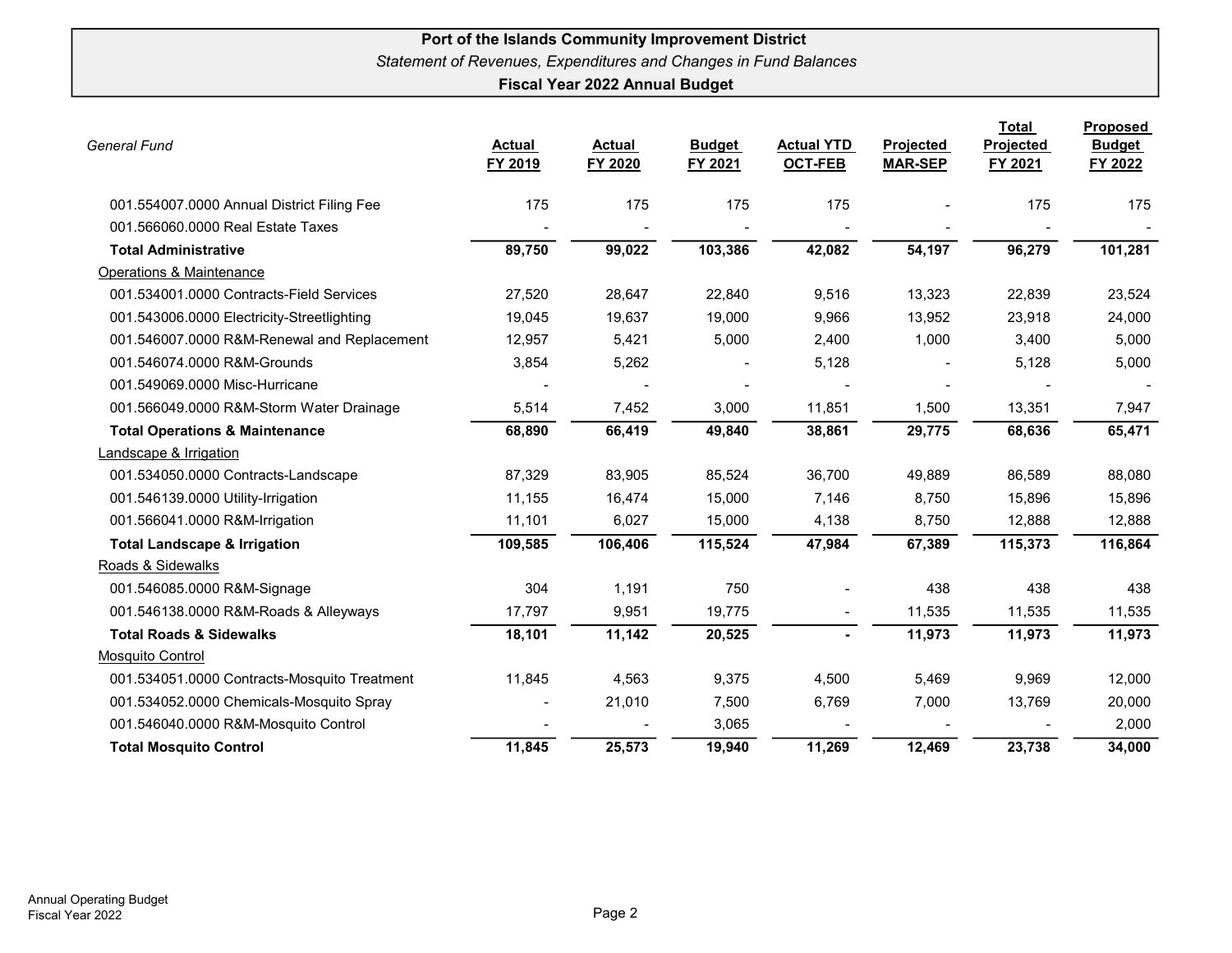| <b>General Fund</b>                          | <b>Actual</b><br>FY 2019 | <b>Actual</b><br>FY 2020 | <b>Budget</b><br>FY 2021 | <b>Actual YTD</b><br><b>OCT-FEB</b> | Projected<br><b>MAR-SEP</b> | Total<br>Projected<br>FY 2021 | <b>Proposed</b><br><b>Budget</b><br>FY 2022 |
|----------------------------------------------|--------------------------|--------------------------|--------------------------|-------------------------------------|-----------------------------|-------------------------------|---------------------------------------------|
| 001.554007.0000 Annual District Filing Fee   | 175                      | 175                      | 175                      | 175                                 |                             | 175                           | 175                                         |
| 001.566060.0000 Real Estate Taxes            |                          |                          |                          |                                     |                             |                               |                                             |
| <b>Total Administrative</b>                  | 89,750                   | 99,022                   | 103,386                  | 42,082                              | 54,197                      | 96,279                        | 101,281                                     |
| Operations & Maintenance                     |                          |                          |                          |                                     |                             |                               |                                             |
| 001.534001.0000 Contracts-Field Services     | 27,520                   | 28,647                   | 22,840                   | 9,516                               | 13,323                      | 22,839                        | 23,524                                      |
| 001.543006.0000 Electricity-Streetlighting   | 19,045                   | 19,637                   | 19,000                   | 9,966                               | 13,952                      | 23,918                        | 24,000                                      |
| 001.546007.0000 R&M-Renewal and Replacement  | 12,957                   | 5,421                    | 5,000                    | 2,400                               | 1,000                       | 3,400                         | 5,000                                       |
| 001.546074.0000 R&M-Grounds                  | 3,854                    | 5,262                    |                          | 5,128                               |                             | 5,128                         | 5,000                                       |
| 001.549069.0000 Misc-Hurricane               |                          |                          |                          |                                     |                             |                               |                                             |
| 001.566049.0000 R&M-Storm Water Drainage     | 5,514                    | 7,452                    | 3,000                    | 11,851                              | 1,500                       | 13,351                        | 7,947                                       |
| <b>Total Operations &amp; Maintenance</b>    | 68,890                   | 66,419                   | 49,840                   | 38,861                              | 29,775                      | 68,636                        | 65,471                                      |
| Landscape & Irrigation                       |                          |                          |                          |                                     |                             |                               |                                             |
| 001.534050.0000 Contracts-Landscape          | 87,329                   | 83,905                   | 85,524                   | 36,700                              | 49,889                      | 86,589                        | 88,080                                      |
| 001.546139.0000 Utility-Irrigation           | 11,155                   | 16,474                   | 15,000                   | 7,146                               | 8,750                       | 15,896                        | 15,896                                      |
| 001.566041.0000 R&M-Irrigation               | 11,101                   | 6,027                    | 15,000                   | 4,138                               | 8,750                       | 12,888                        | 12,888                                      |
| <b>Total Landscape &amp; Irrigation</b>      | 109,585                  | 106,406                  | 115,524                  | 47,984                              | 67,389                      | 115,373                       | 116,864                                     |
| Roads & Sidewalks                            |                          |                          |                          |                                     |                             |                               |                                             |
| 001.546085.0000 R&M-Signage                  | 304                      | 1,191                    | 750                      |                                     | 438                         | 438                           | 438                                         |
| 001.546138.0000 R&M-Roads & Alleyways        | 17,797                   | 9,951                    | 19,775                   |                                     | 11,535                      | 11,535                        | 11,535                                      |
| <b>Total Roads &amp; Sidewalks</b>           | 18,101                   | 11,142                   | 20,525                   | $\blacksquare$                      | 11,973                      | 11,973                        | 11,973                                      |
| <b>Mosquito Control</b>                      |                          |                          |                          |                                     |                             |                               |                                             |
| 001.534051.0000 Contracts-Mosquito Treatment | 11,845                   | 4,563                    | 9,375                    | 4,500                               | 5,469                       | 9,969                         | 12,000                                      |
| 001.534052.0000 Chemicals-Mosquito Spray     |                          | 21,010                   | 7,500                    | 6,769                               | 7,000                       | 13,769                        | 20,000                                      |
| 001.546040.0000 R&M-Mosquito Control         |                          |                          | 3,065                    |                                     |                             |                               | 2,000                                       |
| <b>Total Mosquito Control</b>                | 11,845                   | 25,573                   | 19,940                   | 11,269                              | 12,469                      | 23,738                        | 34,000                                      |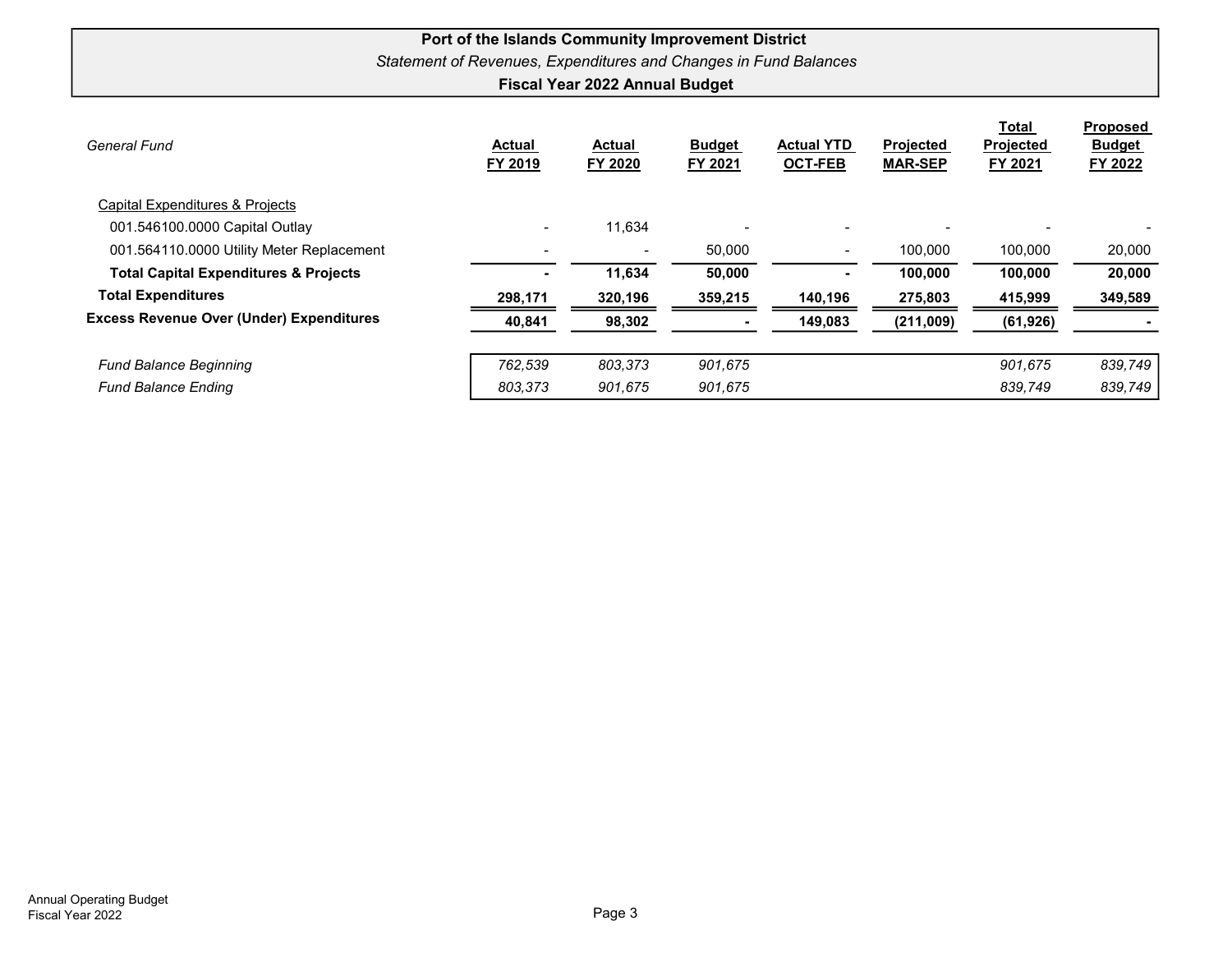| General Fund                                     | <b>Actual</b><br>FY 2019 | <b>Actual</b><br>FY 2020 | <b>Budget</b><br>FY 2021 | <b>Actual YTD</b><br><b>OCT-FEB</b> | <b>Projected</b><br><b>MAR-SEP</b> | Total<br>Projected<br>FY 2021 | <b>Proposed</b><br><b>Budget</b><br>FY 2022 |
|--------------------------------------------------|--------------------------|--------------------------|--------------------------|-------------------------------------|------------------------------------|-------------------------------|---------------------------------------------|
| Capital Expenditures & Projects                  |                          |                          |                          |                                     |                                    |                               |                                             |
| 001.546100.0000 Capital Outlay                   | $\overline{\phantom{a}}$ | 11,634                   |                          | $\blacksquare$                      |                                    |                               |                                             |
| 001.564110.0000 Utility Meter Replacement        |                          |                          | 50,000                   |                                     | 100.000                            | 100,000                       | 20,000                                      |
| <b>Total Capital Expenditures &amp; Projects</b> |                          | 11,634                   | 50,000                   |                                     | 100,000                            | 100,000                       | 20,000                                      |
| <b>Total Expenditures</b>                        | 298,171                  | 320,196                  | 359,215                  | 140,196                             | 275,803                            | 415,999                       | 349,589                                     |
| <b>Excess Revenue Over (Under) Expenditures</b>  | 40,841                   | 98,302                   |                          | 149,083                             | (211,009)                          | (61, 926)                     |                                             |
| <b>Fund Balance Beginning</b>                    | 762.539                  | 803.373                  | 901,675                  |                                     |                                    | 901,675                       | 839,749                                     |
| <b>Fund Balance Ending</b>                       | 803,373                  | 901.675                  | 901,675                  |                                     |                                    | 839,749                       | 839,749                                     |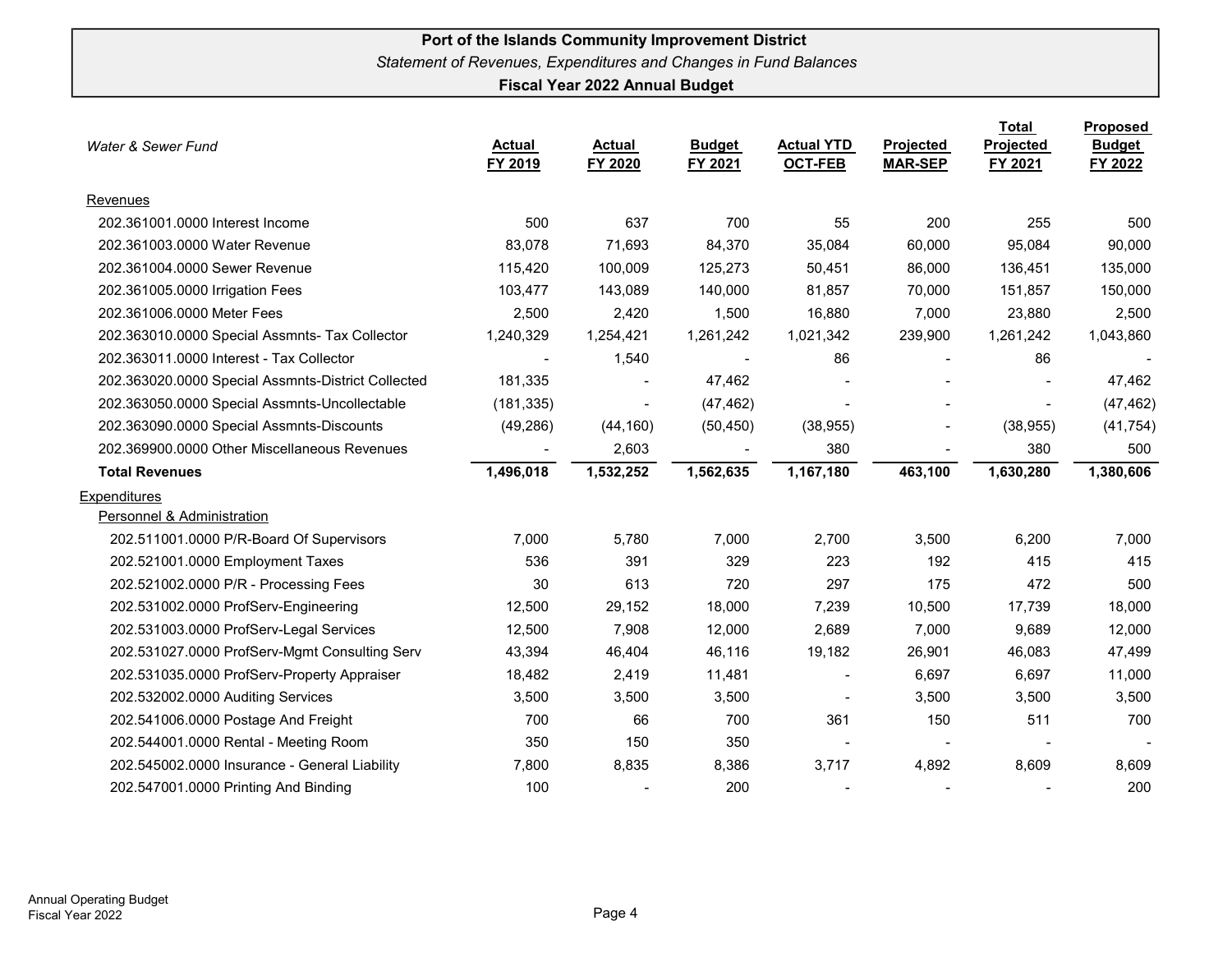| Water & Sewer Fund                                 | <b>Actual</b><br>FY 2019 | <b>Actual</b><br>FY 2020 | <b>Budget</b><br>FY 2021 | <b>Actual YTD</b><br><b>OCT-FEB</b> | Projected<br><b>MAR-SEP</b> | <b>Total</b><br><b>Projected</b><br>FY 2021 | Proposed<br><b>Budget</b><br>FY 2022 |
|----------------------------------------------------|--------------------------|--------------------------|--------------------------|-------------------------------------|-----------------------------|---------------------------------------------|--------------------------------------|
| Revenues                                           |                          |                          |                          |                                     |                             |                                             |                                      |
| 202.361001.0000 Interest Income                    | 500                      | 637                      | 700                      | 55                                  | 200                         | 255                                         | 500                                  |
| 202.361003.0000 Water Revenue                      | 83,078                   | 71,693                   | 84,370                   | 35,084                              | 60,000                      | 95,084                                      | 90,000                               |
| 202.361004.0000 Sewer Revenue                      | 115,420                  | 100,009                  | 125,273                  | 50,451                              | 86,000                      | 136,451                                     | 135,000                              |
| 202.361005.0000 Irrigation Fees                    | 103,477                  | 143,089                  | 140,000                  | 81,857                              | 70,000                      | 151,857                                     | 150,000                              |
| 202.361006.0000 Meter Fees                         | 2,500                    | 2,420                    | 1,500                    | 16,880                              | 7,000                       | 23,880                                      | 2,500                                |
| 202.363010.0000 Special Assmnts- Tax Collector     | 1,240,329                | 1,254,421                | 1,261,242                | 1,021,342                           | 239,900                     | 1,261,242                                   | 1,043,860                            |
| 202.363011.0000 Interest - Tax Collector           |                          | 1,540                    |                          | 86                                  | $\blacksquare$              | 86                                          |                                      |
| 202.363020.0000 Special Assmnts-District Collected | 181,335                  |                          | 47,462                   |                                     |                             |                                             | 47,462                               |
| 202.363050.0000 Special Assmnts-Uncollectable      | (181, 335)               | $\blacksquare$           | (47, 462)                | $\overline{\phantom{a}}$            |                             | $\blacksquare$                              | (47, 462)                            |
| 202.363090.0000 Special Assmnts-Discounts          | (49, 286)                | (44, 160)                | (50, 450)                | (38, 955)                           |                             | (38, 955)                                   | (41, 754)                            |
| 202.369900.0000 Other Miscellaneous Revenues       |                          | 2,603                    |                          | 380                                 |                             | 380                                         | 500                                  |
| <b>Total Revenues</b>                              | 1,496,018                | 1,532,252                | 1,562,635                | 1,167,180                           | 463,100                     | 1,630,280                                   | 1,380,606                            |
| <b>Expenditures</b>                                |                          |                          |                          |                                     |                             |                                             |                                      |
| Personnel & Administration                         |                          |                          |                          |                                     |                             |                                             |                                      |
| 202.511001.0000 P/R-Board Of Supervisors           | 7,000                    | 5,780                    | 7,000                    | 2,700                               | 3,500                       | 6,200                                       | 7,000                                |
| 202.521001.0000 Employment Taxes                   | 536                      | 391                      | 329                      | 223                                 | 192                         | 415                                         | 415                                  |
| 202.521002.0000 P/R - Processing Fees              | 30                       | 613                      | 720                      | 297                                 | 175                         | 472                                         | 500                                  |
| 202.531002.0000 ProfServ-Engineering               | 12,500                   | 29,152                   | 18,000                   | 7,239                               | 10,500                      | 17,739                                      | 18,000                               |
| 202.531003.0000 ProfServ-Legal Services            | 12,500                   | 7,908                    | 12,000                   | 2,689                               | 7,000                       | 9,689                                       | 12,000                               |
| 202.531027.0000 ProfServ-Mgmt Consulting Serv      | 43,394                   | 46,404                   | 46,116                   | 19,182                              | 26,901                      | 46,083                                      | 47,499                               |
| 202.531035.0000 ProfServ-Property Appraiser        | 18,482                   | 2,419                    | 11,481                   | $\blacksquare$                      | 6,697                       | 6,697                                       | 11,000                               |
| 202.532002.0000 Auditing Services                  | 3,500                    | 3,500                    | 3,500                    | $\overline{\phantom{a}}$            | 3,500                       | 3,500                                       | 3,500                                |
| 202.541006.0000 Postage And Freight                | 700                      | 66                       | 700                      | 361                                 | 150                         | 511                                         | 700                                  |
| 202.544001.0000 Rental - Meeting Room              | 350                      | 150                      | 350                      | $\blacksquare$                      |                             |                                             |                                      |
| 202.545002.0000 Insurance - General Liability      | 7,800                    | 8,835                    | 8,386                    | 3,717                               | 4,892                       | 8,609                                       | 8,609                                |
| 202.547001.0000 Printing And Binding               | 100                      |                          | 200                      |                                     |                             |                                             | 200                                  |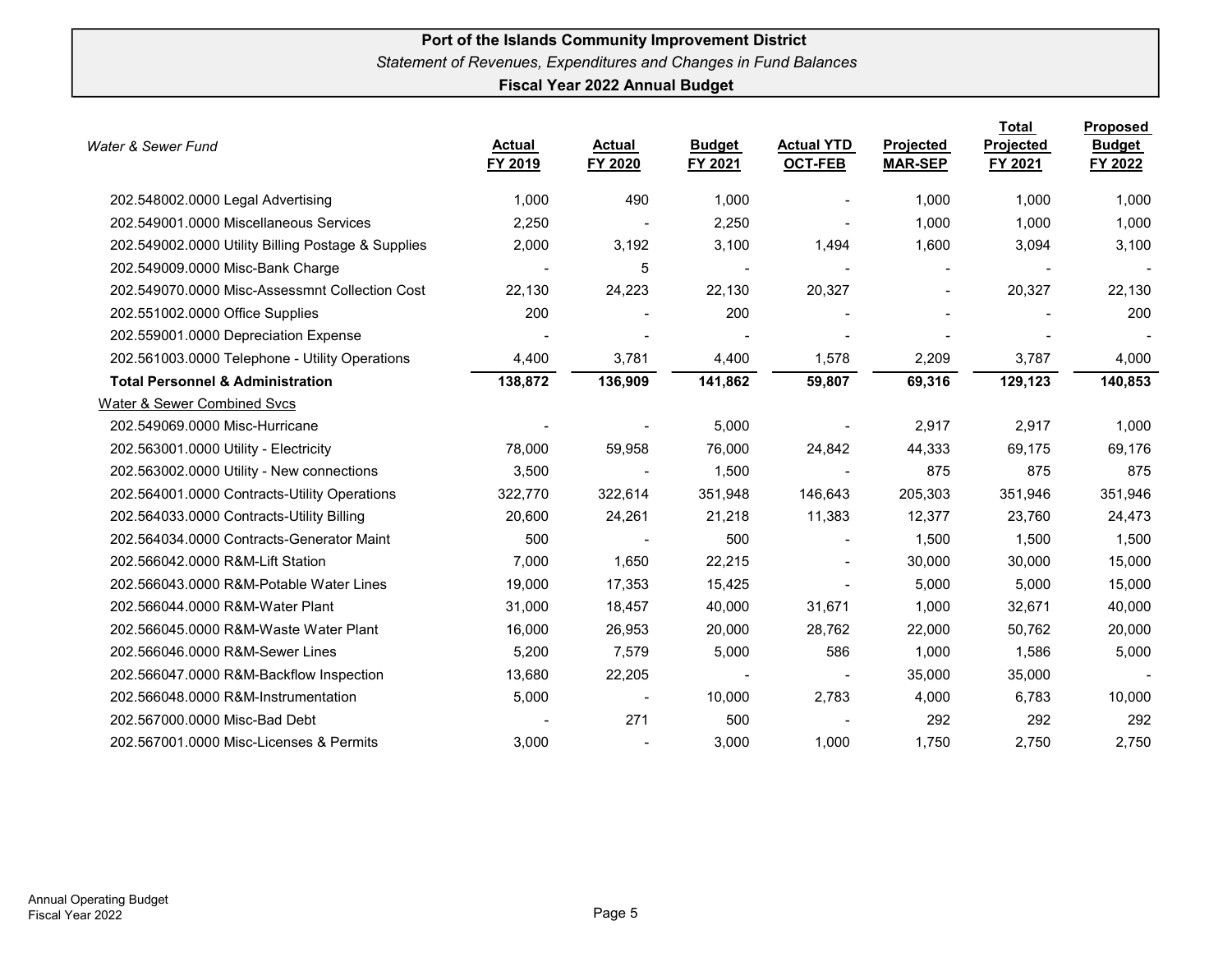| Water & Sewer Fund                                 | <b>Actual</b><br>FY 2019 | Actual<br>FY 2020        | <b>Budget</b><br>FY 2021 | <b>Actual YTD</b><br>OCT-FEB | <b>Projected</b><br><b>MAR-SEP</b> | Total<br><b>Projected</b><br>FY 2021 | <b>Proposed</b><br><b>Budget</b><br>FY 2022 |
|----------------------------------------------------|--------------------------|--------------------------|--------------------------|------------------------------|------------------------------------|--------------------------------------|---------------------------------------------|
| 202.548002.0000 Legal Advertising                  | 1,000                    | 490                      | 1,000                    |                              | 1,000                              | 1,000                                | 1,000                                       |
| 202.549001.0000 Miscellaneous Services             | 2,250                    | $\overline{\phantom{a}}$ | 2,250                    |                              | 1,000                              | 1,000                                | 1,000                                       |
| 202.549002.0000 Utility Billing Postage & Supplies | 2,000                    | 3,192                    | 3,100                    | 1,494                        | 1,600                              | 3,094                                | 3,100                                       |
| 202.549009.0000 Misc-Bank Charge                   |                          | 5                        |                          |                              |                                    |                                      |                                             |
| 202.549070.0000 Misc-Assessmnt Collection Cost     | 22,130                   | 24,223                   | 22,130                   | 20,327                       | $\overline{\phantom{a}}$           | 20,327                               | 22,130                                      |
| 202.551002.0000 Office Supplies                    | 200                      |                          | 200                      |                              |                                    |                                      | 200                                         |
| 202.559001.0000 Depreciation Expense               |                          |                          |                          |                              |                                    |                                      |                                             |
| 202.561003.0000 Telephone - Utility Operations     | 4,400                    | 3,781                    | 4,400                    | 1,578                        | 2,209                              | 3,787                                | 4,000                                       |
| <b>Total Personnel &amp; Administration</b>        | 138,872                  | 136,909                  | 141,862                  | 59,807                       | 69,316                             | 129,123                              | 140,853                                     |
| <b>Water &amp; Sewer Combined Svcs</b>             |                          |                          |                          |                              |                                    |                                      |                                             |
| 202.549069.0000 Misc-Hurricane                     |                          |                          | 5,000                    |                              | 2,917                              | 2,917                                | 1,000                                       |
| 202.563001.0000 Utility - Electricity              | 78,000                   | 59,958                   | 76,000                   | 24,842                       | 44,333                             | 69,175                               | 69,176                                      |
| 202.563002.0000 Utility - New connections          | 3,500                    | $\overline{\phantom{a}}$ | 1,500                    | $\overline{\phantom{a}}$     | 875                                | 875                                  | 875                                         |
| 202.564001.0000 Contracts-Utility Operations       | 322,770                  | 322,614                  | 351,948                  | 146,643                      | 205,303                            | 351,946                              | 351,946                                     |
| 202.564033.0000 Contracts-Utility Billing          | 20,600                   | 24,261                   | 21,218                   | 11,383                       | 12,377                             | 23,760                               | 24,473                                      |
| 202.564034.0000 Contracts-Generator Maint          | 500                      | $\blacksquare$           | 500                      | $\blacksquare$               | 1,500                              | 1,500                                | 1,500                                       |
| 202.566042.0000 R&M-Lift Station                   | 7,000                    | 1,650                    | 22,215                   | $\overline{\phantom{a}}$     | 30,000                             | 30,000                               | 15,000                                      |
| 202.566043.0000 R&M-Potable Water Lines            | 19,000                   | 17,353                   | 15,425                   | $\blacksquare$               | 5,000                              | 5,000                                | 15,000                                      |
| 202.566044.0000 R&M-Water Plant                    | 31,000                   | 18,457                   | 40,000                   | 31,671                       | 1,000                              | 32,671                               | 40,000                                      |
| 202.566045.0000 R&M-Waste Water Plant              | 16,000                   | 26,953                   | 20,000                   | 28,762                       | 22,000                             | 50,762                               | 20,000                                      |
| 202.566046.0000 R&M-Sewer Lines                    | 5,200                    | 7,579                    | 5,000                    | 586                          | 1,000                              | 1,586                                | 5,000                                       |
| 202.566047.0000 R&M-Backflow Inspection            | 13,680                   | 22,205                   |                          | $\overline{\phantom{a}}$     | 35,000                             | 35,000                               |                                             |
| 202.566048.0000 R&M-Instrumentation                | 5,000                    | $\blacksquare$           | 10,000                   | 2,783                        | 4,000                              | 6,783                                | 10,000                                      |
| 202.567000.0000 Misc-Bad Debt                      |                          | 271                      | 500                      |                              | 292                                | 292                                  | 292                                         |
| 202.567001.0000 Misc-Licenses & Permits            | 3,000                    |                          | 3,000                    | 1,000                        | 1,750                              | 2,750                                | 2,750                                       |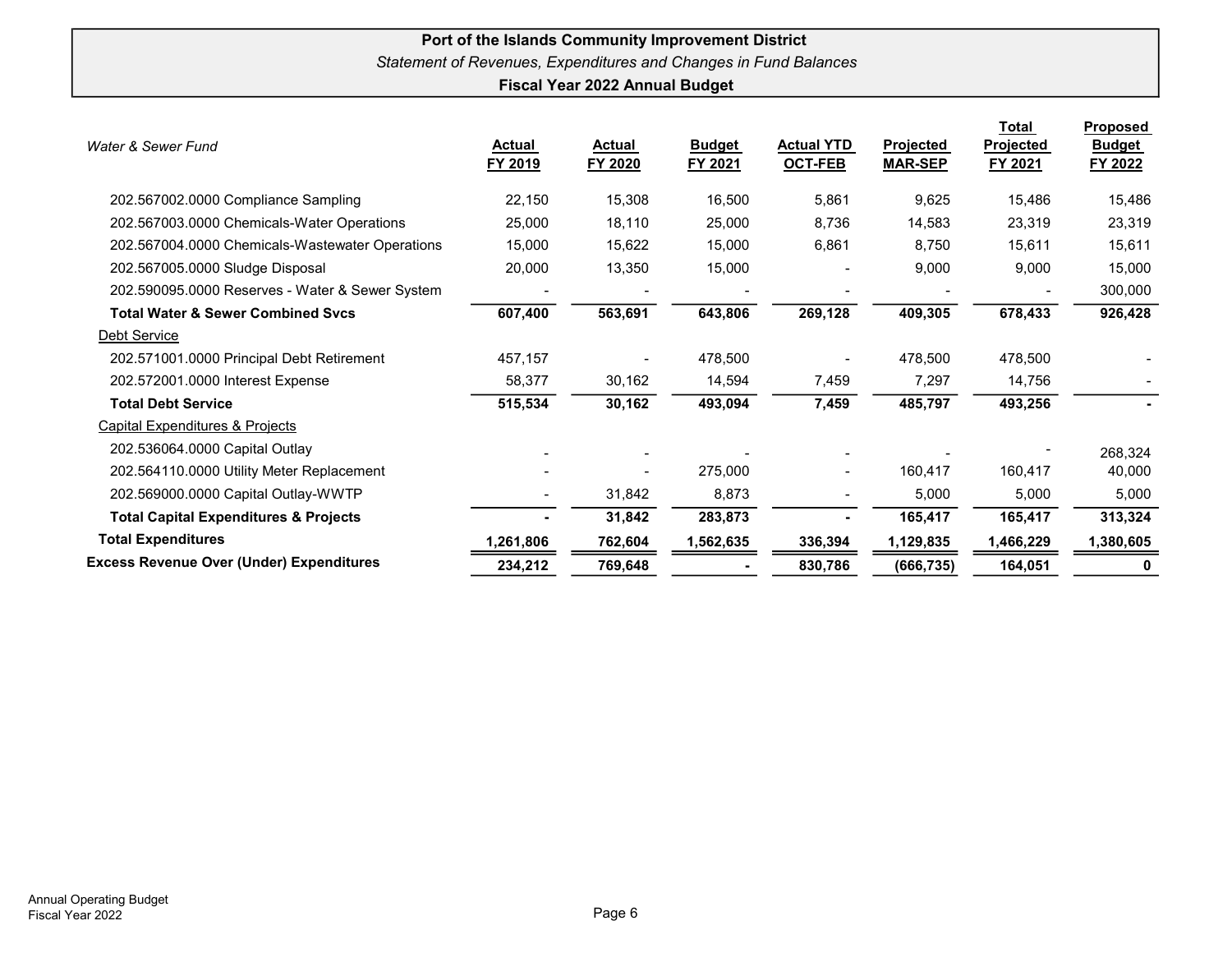| Water & Sewer Fund                               | <u>Actual</u><br>FY 2019 | Actual<br>FY 2020 | <b>Budget</b><br>FY 2021 | <b>Actual YTD</b><br><b>OCT-FEB</b> | <b>Projected</b><br><b>MAR-SEP</b> | <u>Total</u><br><b>Projected</b><br>FY 2021 | <b>Proposed</b><br><b>Budget</b><br>FY 2022 |
|--------------------------------------------------|--------------------------|-------------------|--------------------------|-------------------------------------|------------------------------------|---------------------------------------------|---------------------------------------------|
| 202.567002.0000 Compliance Sampling              | 22,150                   | 15,308            | 16,500                   | 5,861                               | 9,625                              | 15,486                                      | 15,486                                      |
| 202.567003.0000 Chemicals-Water Operations       | 25,000                   | 18,110            | 25,000                   | 8,736                               | 14,583                             | 23,319                                      | 23,319                                      |
| 202.567004.0000 Chemicals-Wastewater Operations  | 15,000                   | 15,622            | 15,000                   | 6,861                               | 8,750                              | 15,611                                      | 15,611                                      |
| 202.567005.0000 Sludge Disposal                  | 20,000                   | 13,350            | 15,000                   |                                     | 9,000                              | 9,000                                       | 15,000                                      |
| 202.590095.0000 Reserves - Water & Sewer System  |                          |                   |                          |                                     |                                    |                                             | 300,000                                     |
| <b>Total Water &amp; Sewer Combined Svcs</b>     | 607,400                  | 563,691           | 643,806                  | 269,128                             | 409,305                            | 678,433                                     | 926,428                                     |
| Debt Service                                     |                          |                   |                          |                                     |                                    |                                             |                                             |
| 202.571001.0000 Principal Debt Retirement        | 457,157                  |                   | 478,500                  |                                     | 478,500                            | 478,500                                     |                                             |
| 202.572001.0000 Interest Expense                 | 58,377                   | 30,162            | 14,594                   | 7,459                               | 7,297                              | 14,756                                      |                                             |
| <b>Total Debt Service</b>                        | 515,534                  | 30,162            | 493,094                  | 7,459                               | 485,797                            | 493,256                                     |                                             |
| <b>Capital Expenditures &amp; Projects</b>       |                          |                   |                          |                                     |                                    |                                             |                                             |
| 202.536064.0000 Capital Outlay                   |                          |                   |                          |                                     |                                    |                                             | 268,324                                     |
| 202.564110.0000 Utility Meter Replacement        |                          |                   | 275,000                  |                                     | 160,417                            | 160,417                                     | 40,000                                      |
| 202.569000.0000 Capital Outlay-WWTP              |                          | 31,842            | 8,873                    |                                     | 5,000                              | 5,000                                       | 5,000                                       |
| <b>Total Capital Expenditures &amp; Projects</b> |                          | 31,842            | 283,873                  |                                     | 165,417                            | 165,417                                     | 313,324                                     |
| <b>Total Expenditures</b>                        | ,261,806                 | 762,604           | 1,562,635                | 336,394                             | 1,129,835                          | 1,466,229                                   | 1,380,605                                   |
| <b>Excess Revenue Over (Under) Expenditures</b>  | 234,212                  | 769,648           |                          | 830,786                             | (666, 735)                         | 164,051                                     |                                             |